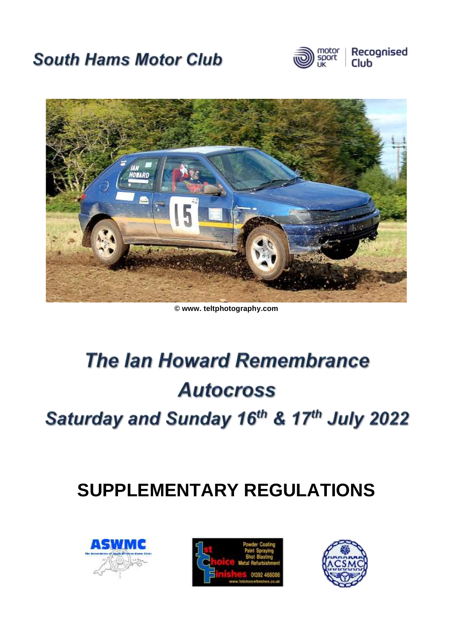# **South Hams Motor Club**





#### **© www. teltphotography.com**

# **The lan Howard Remembrance Autocross**

Saturday and Sunday 16th & 17th July 2022

# **SUPPLEMENTARY REGULATIONS**





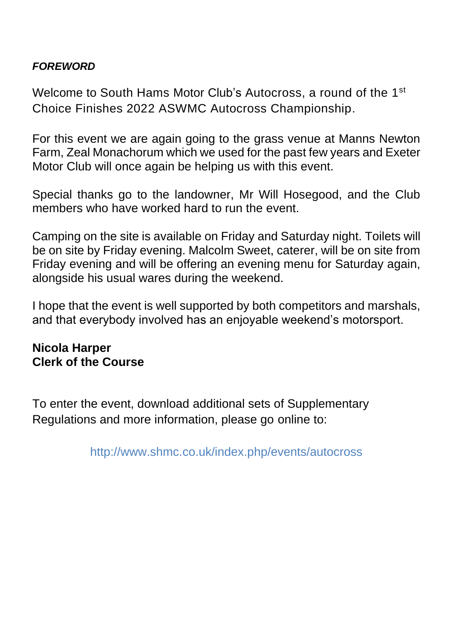### *FOREWORD*

Welcome to South Hams Motor Club's Autocross, a round of the 1<sup>st</sup> Choice Finishes 2022 ASWMC Autocross Championship.

For this event we are again going to the grass venue at Manns Newton Farm, Zeal Monachorum which we used for the past few years and Exeter Motor Club will once again be helping us with this event.

Special thanks go to the landowner, Mr Will Hosegood, and the Club members who have worked hard to run the event.

Camping on the site is available on Friday and Saturday night. Toilets will be on site by Friday evening. Malcolm Sweet, caterer, will be on site from Friday evening and will be offering an evening menu for Saturday again, alongside his usual wares during the weekend.

I hope that the event is well supported by both competitors and marshals, and that everybody involved has an enjoyable weekend's motorsport.

## **Nicola Harper Clerk of the Course**

To enter the event, download additional sets of Supplementary Regulations and more information, please go online to:

http://www.shmc.co.uk/index.php/events/autocross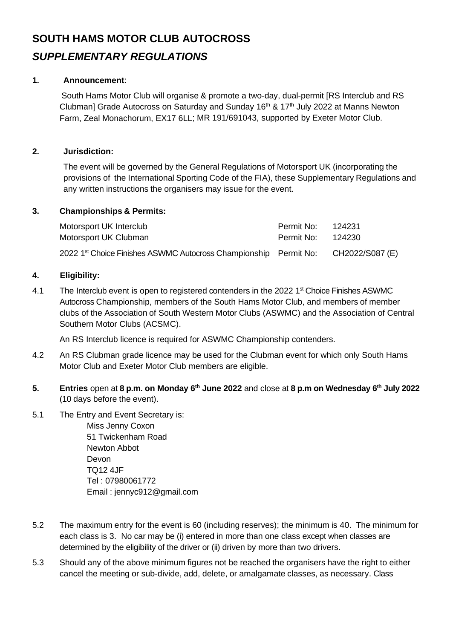## **SOUTH HAMS MOTOR CLUB AUTOCROSS** *SUPPLEMENTARY REGULATIONS*

#### **1. Announcement**:

South Hams Motor Club will organise & promote a two-day, dual-permit [RS Interclub and RS Clubman] Grade Autocross on Saturday and Sunday  $16<sup>th</sup>$  &  $17<sup>th</sup>$  July 2022 at Manns Newton Farm, Zeal Monachorum, EX17 6LL; MR 191/691043, supported by Exeter Motor Club.

#### **2. Jurisdiction:**

The event will be governed by the General Regulations of Motorsport UK (incorporating the provisions of the International Sporting Code of the FIA), these Supplementary Regulations and any written instructions the organisers may issue for the event.

#### **3. Championships & Permits:**

| Motorsport UK Interclub                                                                      | Permit No:        | - 124231 |
|----------------------------------------------------------------------------------------------|-------------------|----------|
| Motorsport UK Clubman                                                                        | Permit No: 124230 |          |
| 2022 1 <sup>st</sup> Choice Finishes ASWMC Autocross Championship Permit No: CH2022/S087 (E) |                   |          |

#### **4. Eligibility:**

4.1 The Interclub event is open to registered contenders in the 2022 1<sup>st</sup> Choice Finishes ASWMC Autocross Championship, members of the South Hams Motor Club, and members of member clubs of the Association of South Western Motor Clubs (ASWMC) and the Association of Central Southern Motor Clubs (ACSMC).

An RS Interclub licence is required for ASWMC Championship contenders.

- 4.2 An RS Clubman grade licence may be used for the Clubman event for which only South Hams Motor Club and Exeter Motor Club members are eligible.
- **5. Entries** open at **8 p.m. on Monday 6th June 2022** and close at **8 p.m on Wednesday 6th July 2022** (10 days before the event).
- 5.1 The Entry and Event Secretary is:

Miss Jenny Coxon 51 Twickenham Road Newton Abbot Devon TQ12 4JF Tel : 07980061772 Email : jennyc912@gmail.com

- 5.2 The maximum entry for the event is 60 (including reserves); the minimum is 40. The minimum for each class is 3. No car may be (i) entered in more than one class except when classes are determined by the eligibility of the driver or (ii) driven by more than two drivers.
- 5.3 Should any of the above minimum figures not be reached the organisers have the right to either cancel the meeting or sub-divide, add, delete, or amalgamate classes, as necessary. Class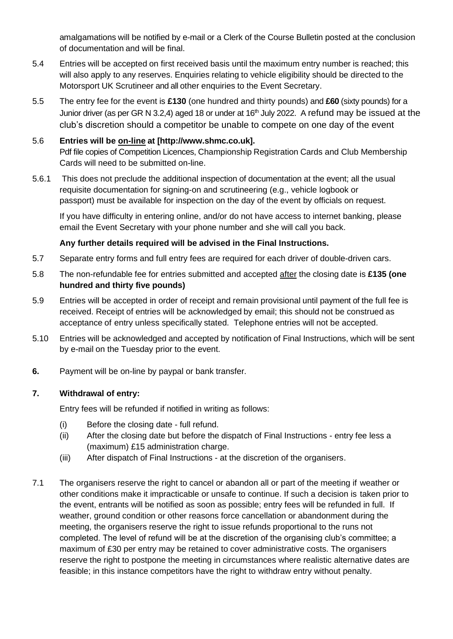amalgamations will be notified by e-mail or a Clerk of the Course Bulletin posted at the conclusion of documentation and will be final.

- 5.4 Entries will be accepted on first received basis until the maximum entry number is reached; this will also apply to any reserves. Enquiries relating to vehicle eligibility should be directed to the Motorsport UK Scrutineer and all other enquiries to the Event Secretary.
- 5.5 The entry fee for the event is **£130** (one hundred and thirty pounds) and **£60** (sixty pounds) for a Junior driver (as per GR N 3.2,4) aged 18 or under at 16<sup>th</sup> July 2022. A refund may be issued at the club's discretion should a competitor be unable to compete on one day of the event

#### 5.6 **Entries will be on-line at [http://www.shmc.co.uk].**  Pdf file copies of Competition Licences, Championship Registration Cards and Club Membership Cards will need to be submitted on-line.

5.6.1 This does not preclude the additional inspection of documentation at the event; all the usual requisite documentation for signing-on and scrutineering (e.g., vehicle logbook or passport) must be available for inspection on the day of the event by officials on request.

If you have difficulty in entering online, and/or do not have access to internet banking, please email the Event Secretary with your phone number and she will call you back.

#### **Any further details required will be advised in the Final Instructions.**

- 5.7 Separate entry forms and full entry fees are required for each driver of double-driven cars.
- 5.8 The non-refundable fee for entries submitted and accepted after the closing date is **£135 (one hundred and thirty five pounds)**
- 5.9 Entries will be accepted in order of receipt and remain provisional until payment of the full fee is received. Receipt of entries will be acknowledged by email; this should not be construed as acceptance of entry unless specifically stated. Telephone entries will not be accepted.
- 5.10 Entries will be acknowledged and accepted by notification of Final Instructions, which will be sent by e-mail on the Tuesday prior to the event.
- **6.** Payment will be on-line by paypal or bank transfer.

#### **7. Withdrawal of entry:**

Entry fees will be refunded if notified in writing as follows:

- (i) Before the closing date full refund.
- (ii) After the closing date but before the dispatch of Final Instructions entry fee less a (maximum) £15 administration charge.
- (iii) After dispatch of Final Instructions at the discretion of the organisers.
- 7.1 The organisers reserve the right to cancel or abandon all or part of the meeting if weather or other conditions make it impracticable or unsafe to continue. If such a decision is taken prior to the event, entrants will be notified as soon as possible; entry fees will be refunded in full. If weather, ground condition or other reasons force cancellation or abandonment during the meeting, the organisers reserve the right to issue refunds proportional to the runs not completed. The level of refund will be at the discretion of the organising club's committee; a maximum of £30 per entry may be retained to cover administrative costs. The organisers reserve the right to postpone the meeting in circumstances where realistic alternative dates are feasible; in this instance competitors have the right to withdraw entry without penalty.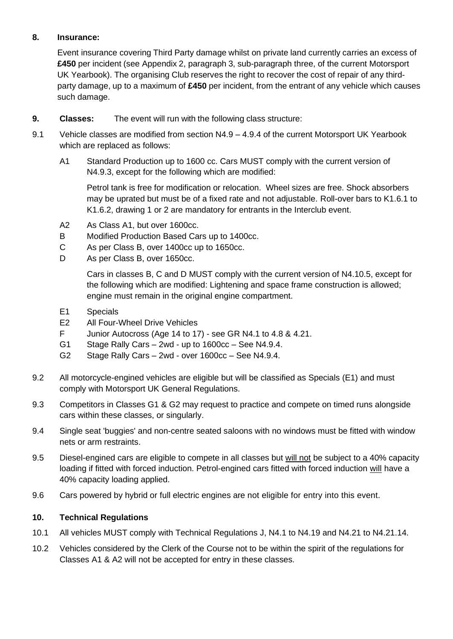#### **8. Insurance:**

Event insurance covering Third Party damage whilst on private land currently carries an excess of **£450** per incident (see Appendix 2, paragraph 3, sub-paragraph three, of the current Motorsport UK Yearbook). The organising Club reserves the right to recover the cost of repair of any thirdparty damage, up to a maximum of **£450** per incident, from the entrant of any vehicle which causes such damage.

- **9. Classes:** The event will run with the following class structure:
- 9.1 Vehicle classes are modified from section N4.9 4.9.4 of the current Motorsport UK Yearbook which are replaced as follows:
	- A1 Standard Production up to 1600 cc. Cars MUST comply with the current version of N4.9.3, except for the following which are modified:

Petrol tank is free for modification or relocation. Wheel sizes are free. Shock absorbers may be uprated but must be of a fixed rate and not adjustable. Roll-over bars to K1.6.1 to K1.6.2, drawing 1 or 2 are mandatory for entrants in the Interclub event.

- A2 As Class A1, but over 1600cc.
- B Modified Production Based Cars up to 1400cc.
- C As per Class B, over 1400cc up to 1650cc.
- D As per Class B, over 1650cc.

Cars in classes B, C and D MUST comply with the current version of N4.10.5, except for the following which are modified: Lightening and space frame construction is allowed; engine must remain in the original engine compartment.

- E1 Specials
- E2 All Four-Wheel Drive Vehicles
- F Junior Autocross (Age 14 to 17) see GR N4.1 to 4.8 & 4.21.
- G1 Stage Rally Cars 2wd up to 1600cc See N4.9.4.
- G2 Stage Rally Cars 2wd over 1600cc See N4.9.4.
- 9.2 All motorcycle-engined vehicles are eligible but will be classified as Specials (E1) and must comply with Motorsport UK General Regulations.
- 9.3 Competitors in Classes G1 & G2 may request to practice and compete on timed runs alongside cars within these classes, or singularly.
- 9.4 Single seat 'buggies' and non-centre seated saloons with no windows must be fitted with window nets or arm restraints.
- 9.5 Diesel-engined cars are eligible to compete in all classes but will not be subject to a 40% capacity loading if fitted with forced induction. Petrol-engined cars fitted with forced induction will have a 40% capacity loading applied.
- 9.6 Cars powered by hybrid or full electric engines are not eligible for entry into this event.

#### **10. Technical Regulations**

- 10.1 All vehicles MUST comply with Technical Regulations J, N4.1 to N4.19 and N4.21 to N4.21.14.
- 10.2 Vehicles considered by the Clerk of the Course not to be within the spirit of the regulations for Classes A1 & A2 will not be accepted for entry in these classes.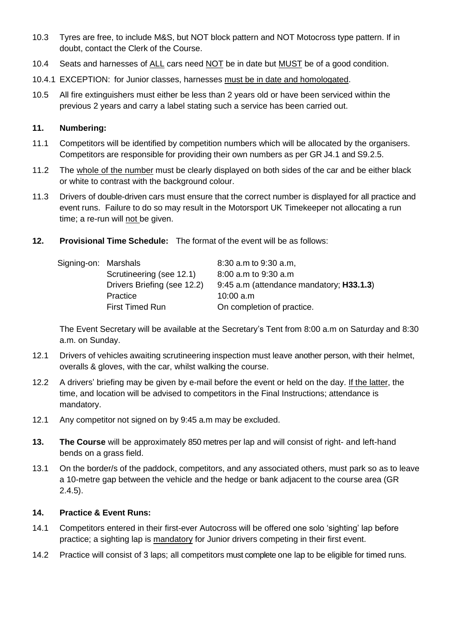- 10.3 Tyres are free, to include M&S, but NOT block pattern and NOT Motocross type pattern. If in doubt, contact the Clerk of the Course.
- 10.4 Seats and harnesses of ALL cars need NOT be in date but MUST be of a good condition.
- 10.4.1 EXCEPTION: for Junior classes, harnesses must be in date and homologated.
- 10.5 All fire extinguishers must either be less than 2 years old or have been serviced within the previous 2 years and carry a label stating such a service has been carried out.

#### **11. Numbering:**

- 11.1 Competitors will be identified by competition numbers which will be allocated by the organisers. Competitors are responsible for providing their own numbers as per GR J4.1 and S9.2.5.
- 11.2 The whole of the number must be clearly displayed on both sides of the car and be either black or white to contrast with the background colour.
- 11.3 Drivers of double-driven cars must ensure that the correct number is displayed for all practice and event runs. Failure to do so may result in the Motorsport UK Timekeeper not allocating a run time; a re-run will not be given.
- **12. Provisional Time Schedule:** The format of the event will be as follows:

| Signing-on: Marshals |                             | 8:30 a.m to 9:30 a.m.                    |
|----------------------|-----------------------------|------------------------------------------|
|                      | Scrutineering (see 12.1)    | 8:00 a.m to 9:30 a.m                     |
|                      | Drivers Briefing (see 12.2) | 9:45 a.m (attendance mandatory; H33.1.3) |
|                      | Practice                    | 10:00 a.m                                |
|                      | <b>First Timed Run</b>      | On completion of practice.               |

The Event Secretary will be available at the Secretary's Tent from 8:00 a.m on Saturday and 8:30 a.m. on Sunday.

- 12.1 Drivers of vehicles awaiting scrutineering inspection must leave another person, with their helmet, overalls & gloves, with the car, whilst walking the course.
- 12.2 A drivers' briefing may be given by e-mail before the event or held on the day. If the latter, the time, and location will be advised to competitors in the Final Instructions; attendance is mandatory.
- 12.1 Any competitor not signed on by 9:45 a.m may be excluded.
- **13. The Course** will be approximately 850 metres per lap and will consist of right- and left-hand bends on a grass field.
- 13.1 On the border/s of the paddock, competitors, and any associated others, must park so as to leave a 10-metre gap between the vehicle and the hedge or bank adjacent to the course area (GR 2.4.5).

#### **14. Practice & Event Runs:**

- 14.1 Competitors entered in their first-ever Autocross will be offered one solo 'sighting' lap before practice; a sighting lap is mandatory for Junior drivers competing in their first event.
- 14.2 Practice will consist of 3 laps; all competitors must complete one lap to be eligible for timed runs.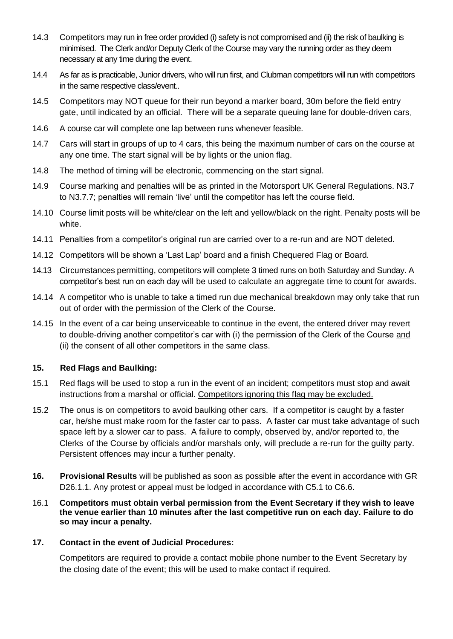- 14.3 Competitors may run in free order provided (i) safety is not compromised and (ii) the risk of baulking is minimised. The Clerk and/or Deputy Clerk of the Course may vary the running order as they deem necessary at any time during the event.
- 14.4 As far as is practicable, Junior drivers, who will run first, and Clubman competitors will run with competitors in the same respective class/event..
- 14.5 Competitors may NOT queue for their run beyond a marker board, 30m before the field entry gate, until indicated by an official. There will be a separate queuing lane for double-driven cars.
- 14.6 A course car will complete one lap between runs whenever feasible.
- 14.7 Cars will start in groups of up to 4 cars, this being the maximum number of cars on the course at any one time. The start signal will be by lights or the union flag.
- 14.8 The method of timing will be electronic, commencing on the start signal.
- 14.9 Course marking and penalties will be as printed in the Motorsport UK General Regulations. N3.7 to N3.7.7; penalties will remain 'live' until the competitor has left the course field.
- 14.10 Course limit posts will be white/clear on the left and yellow/black on the right. Penalty posts will be white.
- 14.11 Penalties from a competitor's original run are carried over to a re-run and are NOT deleted.
- 14.12 Competitors will be shown a 'Last Lap' board and a finish Chequered Flag or Board.
- 14.13 Circumstances permitting, competitors will complete 3 timed runs on both Saturday and Sunday. A competitor's best run on each day will be used to calculate an aggregate time to count for awards.
- 14.14 A competitor who is unable to take a timed run due mechanical breakdown may only take that run out of order with the permission of the Clerk of the Course.
- 14.15 In the event of a car being unserviceable to continue in the event, the entered driver may revert to double-driving another competitor's car with (i) the permission of the Clerk of the Course and (ii) the consent of all other competitors in the same class.

#### **15. Red Flags and Baulking:**

- 15.1 Red flags will be used to stop a run in the event of an incident; competitors must stop and await instructions from a marshal or official. Competitors ignoring this flag may be excluded.
- 15.2 The onus is on competitors to avoid baulking other cars. If a competitor is caught by a faster car, he/she must make room for the faster car to pass. A faster car must take advantage of such space left by a slower car to pass. A failure to comply, observed by, and/or reported to, the Clerks of the Course by officials and/or marshals only, will preclude a re-run for the guilty party. Persistent offences may incur a further penalty.
- **16. Provisional Results** will be published as soon as possible after the event in accordance with GR D26.1.1. Any protest or appeal must be lodged in accordance with C5.1 to C6.6.
- 16.1 **Competitors must obtain verbal permission from the Event Secretary if they wish to leave the venue earlier than 10 minutes after the last competitive run on each day. Failure to do so may incur a penalty.**

#### **17. Contact in the event of Judicial Procedures:**

Competitors are required to provide a contact mobile phone number to the Event Secretary by the closing date of the event; this will be used to make contact if required.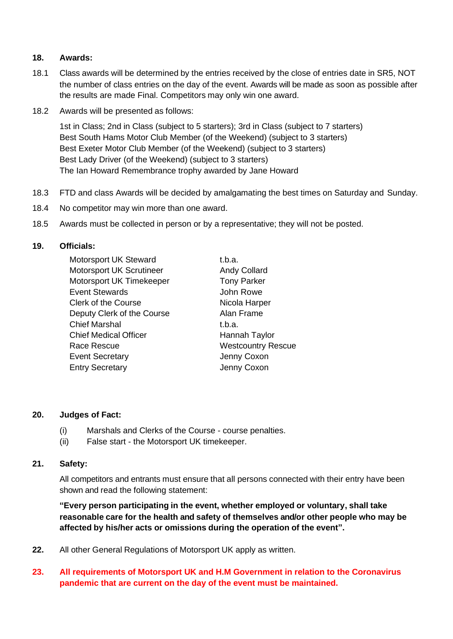#### **18. Awards:**

- 18.1 Class awards will be determined by the entries received by the close of entries date in SR5, NOT the number of class entries on the day of the event. Awards will be made as soon as possible after the results are made Final. Competitors may only win one award.
- 18.2 Awards will be presented as follows:

1st in Class; 2nd in Class (subject to 5 starters); 3rd in Class (subject to 7 starters) Best South Hams Motor Club Member (of the Weekend) (subject to 3 starters) Best Exeter Motor Club Member (of the Weekend) (subject to 3 starters) Best Lady Driver (of the Weekend) (subject to 3 starters) The Ian Howard Remembrance trophy awarded by Jane Howard

- 18.3 FTD and class Awards will be decided by amalgamating the best times on Saturday and Sunday.
- 18.4 No competitor may win more than one award.
- 18.5 Awards must be collected in person or by a representative; they will not be posted.

#### **19. Officials:**

| Motorsport UK Steward        | t.b.a.                    |
|------------------------------|---------------------------|
| Motorsport UK Scrutineer     | <b>Andy Collard</b>       |
| Motorsport UK Timekeeper     | <b>Tony Parker</b>        |
| <b>Event Stewards</b>        | John Rowe                 |
| <b>Clerk of the Course</b>   | Nicola Harper             |
| Deputy Clerk of the Course   | Alan Frame                |
| <b>Chief Marshal</b>         | t.b.a.                    |
| <b>Chief Medical Officer</b> | Hannah Taylor             |
| Race Rescue                  | <b>Westcountry Rescue</b> |
| <b>Event Secretary</b>       | Jenny Coxon               |
| <b>Entry Secretary</b>       | Jenny Coxon               |
|                              |                           |

#### **20. Judges of Fact:**

- (i) Marshals and Clerks of the Course course penalties.
- (ii) False start the Motorsport UK timekeeper.

#### **21. Safety:**

All competitors and entrants must ensure that all persons connected with their entry have been shown and read the following statement:

**"Every person participating in the event, whether employed or voluntary, shall take reasonable care for the health and safety of themselves and/or other people who may be affected by his/her acts or omissions during the operation of the event".**

**22.** All other General Regulations of Motorsport UK apply as written.

#### **23. All requirements of Motorsport UK and H.M Government in relation to the Coronavirus pandemic that are current on the day of the event must be maintained.**